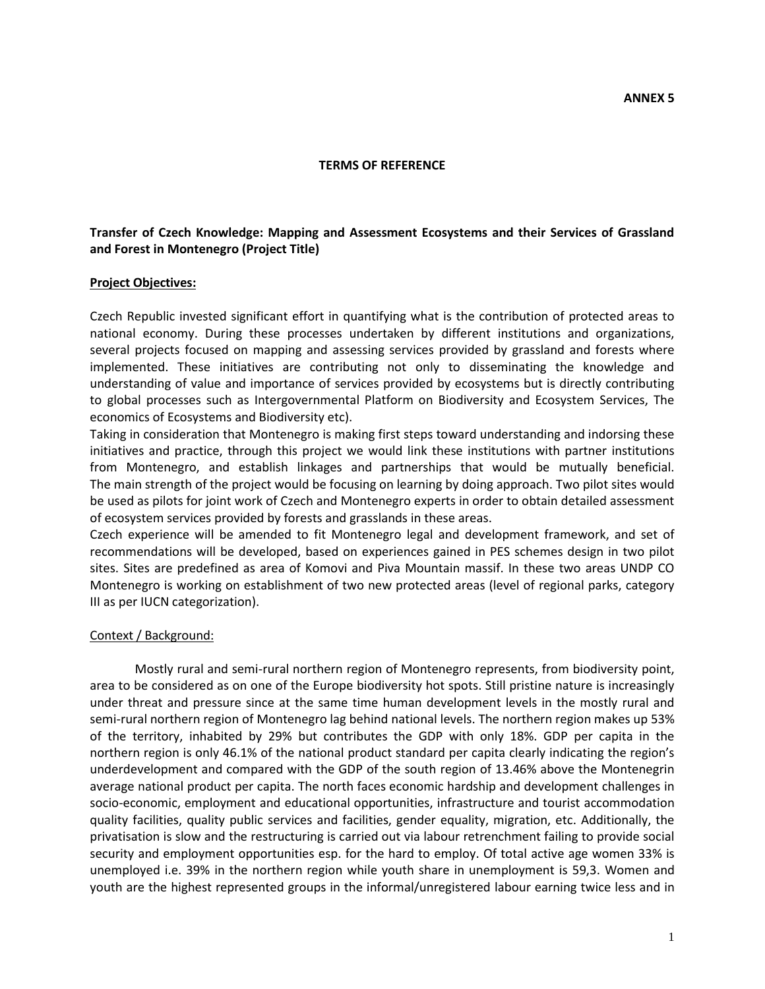#### **TERMS OF REFERENCE**

### **Transfer of Czech Knowledge: Mapping and Assessment Ecosystems and their Services of Grassland and Forest in Montenegro (Project Title)**

#### **Project Objectives:**

Czech Republic invested significant effort in quantifying what is the contribution of protected areas to national economy. During these processes undertaken by different institutions and organizations, several projects focused on mapping and assessing services provided by grassland and forests where implemented. These initiatives are contributing not only to disseminating the knowledge and understanding of value and importance of services provided by ecosystems but is directly contributing to global processes such as Intergovernmental Platform on Biodiversity and Ecosystem Services, The economics of Ecosystems and Biodiversity etc).

Taking in consideration that Montenegro is making first steps toward understanding and indorsing these initiatives and practice, through this project we would link these institutions with partner institutions from Montenegro, and establish linkages and partnerships that would be mutually beneficial. The main strength of the project would be focusing on learning by doing approach. Two pilot sites would be used as pilots for joint work of Czech and Montenegro experts in order to obtain detailed assessment of ecosystem services provided by forests and grasslands in these areas.

Czech experience will be amended to fit Montenegro legal and development framework, and set of recommendations will be developed, based on experiences gained in PES schemes design in two pilot sites. Sites are predefined as area of Komovi and Piva Mountain massif. In these two areas UNDP CO Montenegro is working on establishment of two new protected areas (level of regional parks, category III as per IUCN categorization).

#### Context / Background:

Mostly rural and semi-rural northern region of Montenegro represents, from biodiversity point, area to be considered as on one of the Europe biodiversity hot spots. Still pristine nature is increasingly under threat and pressure since at the same time human development levels in the mostly rural and semi-rural northern region of Montenegro lag behind national levels. The northern region makes up 53% of the territory, inhabited by 29% but contributes the GDP with only 18%. GDP per capita in the northern region is only 46.1% of the national product standard per capita clearly indicating the region's underdevelopment and compared with the GDP of the south region of 13.46% above the Montenegrin average national product per capita. The north faces economic hardship and development challenges in socio-economic, employment and educational opportunities, infrastructure and tourist accommodation quality facilities, quality public services and facilities, gender equality, migration, etc. Additionally, the privatisation is slow and the restructuring is carried out via labour retrenchment failing to provide social security and employment opportunities esp. for the hard to employ. Of total active age women 33% is unemployed i.e. 39% in the northern region while youth share in unemployment is 59,3. Women and youth are the highest represented groups in the informal/unregistered labour earning twice less and in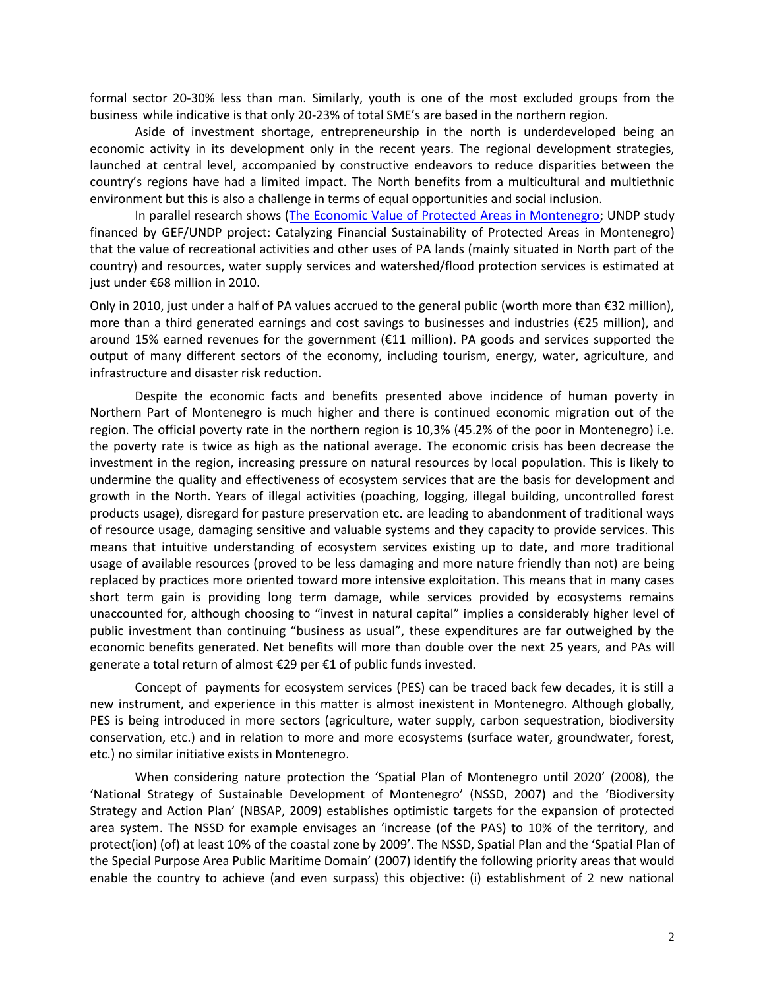formal sector 20-30% less than man. Similarly, youth is one of the most excluded groups from the business while indicative is that only 20-23% of total SME's are based in the northern region.

Aside of investment shortage, entrepreneurship in the north is underdeveloped being an economic activity in its development only in the recent years. The regional development strategies, launched at central level, accompanied by constructive endeavors to reduce disparities between the country's regions have had a limited impact. The North benefits from a multicultural and multiethnic environment but this is also a challenge in terms of equal opportunities and social inclusion.

In parallel research shows [\(The Economic Value of Protected Areas in Montenegro;](http://www.undp.org.me/ee/projects/GEF/Catalyzing%20financial%20sustainability%20of%20the%20protected%20areas%20system%20in%20Montenegro%20(PAF)/index.html) UNDP study financed by GEF/UNDP project: Catalyzing Financial Sustainability of Protected Areas in Montenegro) that the value of recreational activities and other uses of PA lands (mainly situated in North part of the country) and resources, water supply services and watershed/flood protection services is estimated at just under €68 million in 2010.

Only in 2010, just under a half of PA values accrued to the general public (worth more than  $\epsilon$ 32 million), more than a third generated earnings and cost savings to businesses and industries (€25 million), and around 15% earned revenues for the government (€11 million). PA goods and services supported the output of many different sectors of the economy, including tourism, energy, water, agriculture, and infrastructure and disaster risk reduction.

Despite the economic facts and benefits presented above incidence of human poverty in Northern Part of Montenegro is much higher and there is continued economic migration out of the region. The official poverty rate in the northern region is 10,3% (45.2% of the poor in Montenegro) i.e. the poverty rate is twice as high as the national average. The economic crisis has been decrease the investment in the region, increasing pressure on natural resources by local population. This is likely to undermine the quality and effectiveness of ecosystem services that are the basis for development and growth in the North. Years of illegal activities (poaching, logging, illegal building, uncontrolled forest products usage), disregard for pasture preservation etc. are leading to abandonment of traditional ways of resource usage, damaging sensitive and valuable systems and they capacity to provide services. This means that intuitive understanding of ecosystem services existing up to date, and more traditional usage of available resources (proved to be less damaging and more nature friendly than not) are being replaced by practices more oriented toward more intensive exploitation. This means that in many cases short term gain is providing long term damage, while services provided by ecosystems remains unaccounted for, although choosing to "invest in natural capital" implies a considerably higher level of public investment than continuing "business as usual", these expenditures are far outweighed by the economic benefits generated. Net benefits will more than double over the next 25 years, and PAs will generate a total return of almost €29 per €1 of public funds invested.

Concept of payments for ecosystem services (PES) can be traced back few decades, it is still a new instrument, and experience in this matter is almost inexistent in Montenegro. Although globally, PES is being introduced in more sectors (agriculture, water supply, carbon sequestration, biodiversity conservation, etc.) and in relation to more and more ecosystems (surface water, groundwater, forest, etc.) no similar initiative exists in Montenegro.

When considering nature protection the 'Spatial Plan of Montenegro until 2020' (2008), the 'National Strategy of Sustainable Development of Montenegro' (NSSD, 2007) and the 'Biodiversity Strategy and Action Plan' (NBSAP, 2009) establishes optimistic targets for the expansion of protected area system. The NSSD for example envisages an 'increase (of the PAS) to 10% of the territory, and protect(ion) (of) at least 10% of the coastal zone by 2009'. The NSSD, Spatial Plan and the 'Spatial Plan of the Special Purpose Area Public Maritime Domain' (2007) identify the following priority areas that would enable the country to achieve (and even surpass) this objective: (i) establishment of 2 new national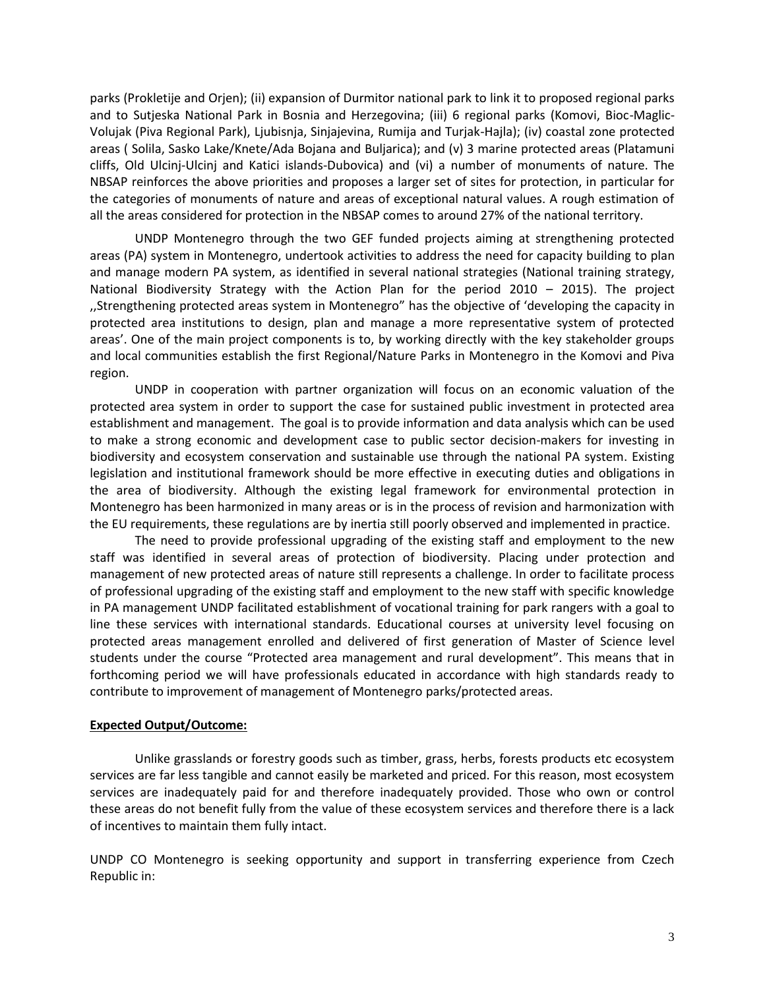parks (Prokletije and Orjen); (ii) expansion of Durmitor national park to link it to proposed regional parks and to Sutjeska National Park in Bosnia and Herzegovina; (iii) 6 regional parks (Komovi, Bioc-Maglic-Volujak (Piva Regional Park), Ljubisnja, Sinjajevina, Rumija and Turjak-Hajla); (iv) coastal zone protected areas ( Solila, Sasko Lake/Knete/Ada Bojana and Buljarica); and (v) 3 marine protected areas (Platamuni cliffs, Old Ulcinj-Ulcinj and Katici islands-Dubovica) and (vi) a number of monuments of nature. The NBSAP reinforces the above priorities and proposes a larger set of sites for protection, in particular for the categories of monuments of nature and areas of exceptional natural values. A rough estimation of all the areas considered for protection in the NBSAP comes to around 27% of the national territory.

UNDP Montenegro through the two GEF funded projects aiming at strengthening protected areas (PA) system in Montenegro, undertook activities to address the need for capacity building to plan and manage modern PA system, as identified in several national strategies (National training strategy, National Biodiversity Strategy with the Action Plan for the period 2010 – 2015). The project ,,Strengthening protected areas system in Montenegro" has the objective of 'developing the capacity in protected area institutions to design, plan and manage a more representative system of protected areas'. One of the main project components is to, by working directly with the key stakeholder groups and local communities establish the first Regional/Nature Parks in Montenegro in the Komovi and Piva region.

UNDP in cooperation with partner organization will focus on an economic valuation of the protected area system in order to support the case for sustained public investment in protected area establishment and management. The goal is to provide information and data analysis which can be used to make a strong economic and development case to public sector decision-makers for investing in biodiversity and ecosystem conservation and sustainable use through the national PA system. Existing legislation and institutional framework should be more effective in executing duties and obligations in the area of biodiversity. Although the existing legal framework for environmental protection in Montenegro has been harmonized in many areas or is in the process of revision and harmonization with the EU requirements, these regulations are by inertia still poorly observed and implemented in practice.

The need to provide professional upgrading of the existing staff and employment to the new staff was identified in several areas of protection of biodiversity. Placing under protection and management of new protected areas of nature still represents a challenge. In order to facilitate process of professional upgrading of the existing staff and employment to the new staff with specific knowledge in PA management UNDP facilitated establishment of vocational training for park rangers with a goal to line these services with international standards. Educational courses at university level focusing on protected areas management enrolled and delivered of first generation of Master of Science level students under the course "Protected area management and rural development". This means that in forthcoming period we will have professionals educated in accordance with high standards ready to contribute to improvement of management of Montenegro parks/protected areas.

#### **Expected Output/Outcome:**

Unlike grasslands or forestry goods such as timber, grass, herbs, forests products etc ecosystem services are far less tangible and cannot easily be marketed and priced. For this reason, most ecosystem services are inadequately paid for and therefore inadequately provided. Those who own or control these areas do not benefit fully from the value of these ecosystem services and therefore there is a lack of incentives to maintain them fully intact.

UNDP CO Montenegro is seeking opportunity and support in transferring experience from Czech Republic in: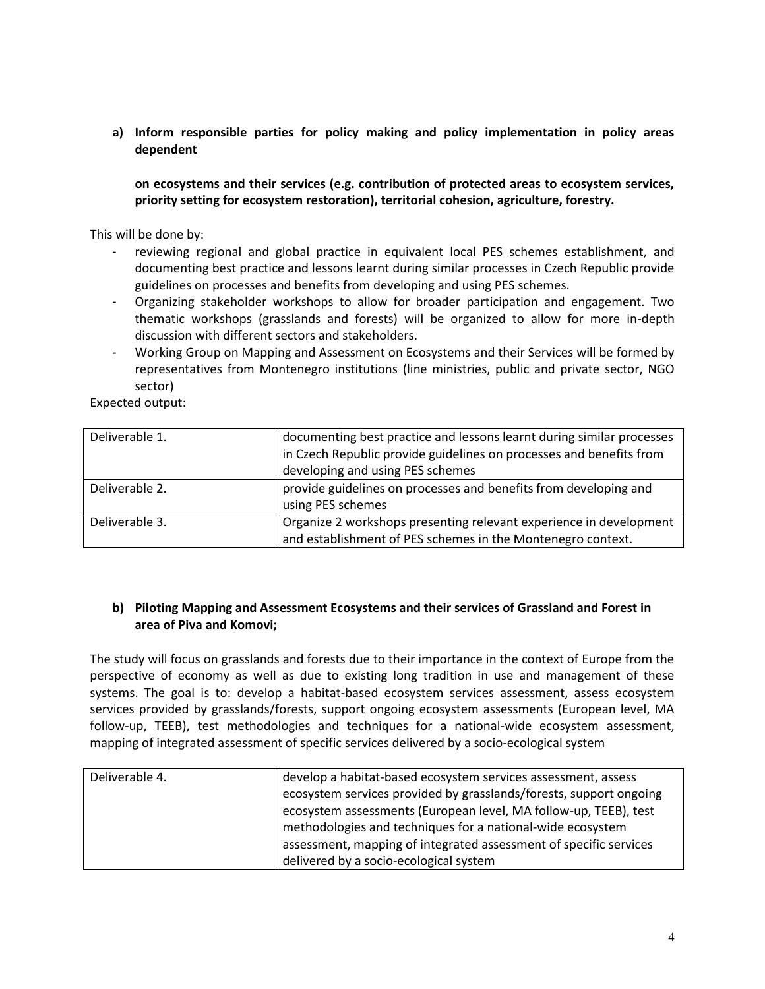**a) Inform responsible parties for policy making and policy implementation in policy areas dependent** 

**on ecosystems and their services (e.g. contribution of protected areas to ecosystem services, priority setting for ecosystem restoration), territorial cohesion, agriculture, forestry.**

This will be done by:

- reviewing regional and global practice in equivalent local PES schemes establishment, and documenting best practice and lessons learnt during similar processes in Czech Republic provide guidelines on processes and benefits from developing and using PES schemes.
- Organizing stakeholder workshops to allow for broader participation and engagement. Two thematic workshops (grasslands and forests) will be organized to allow for more in-depth discussion with different sectors and stakeholders.
- Working Group on Mapping and Assessment on Ecosystems and their Services will be formed by representatives from Montenegro institutions (line ministries, public and private sector, NGO sector)

Expected output:

| Deliverable 1. | documenting best practice and lessons learnt during similar processes |  |  |  |
|----------------|-----------------------------------------------------------------------|--|--|--|
|                | in Czech Republic provide guidelines on processes and benefits from   |  |  |  |
|                | developing and using PES schemes                                      |  |  |  |
| Deliverable 2. | provide guidelines on processes and benefits from developing and      |  |  |  |
|                | using PES schemes                                                     |  |  |  |
| Deliverable 3. | Organize 2 workshops presenting relevant experience in development    |  |  |  |
|                | and establishment of PES schemes in the Montenegro context.           |  |  |  |

# **b) Piloting Mapping and Assessment Ecosystems and their services of Grassland and Forest in area of Piva and Komovi;**

The study will focus on grasslands and forests due to their importance in the context of Europe from the perspective of economy as well as due to existing long tradition in use and management of these systems. The goal is to: develop a habitat-based ecosystem services assessment, assess ecosystem services provided by grasslands/forests, support ongoing ecosystem assessments (European level, MA follow-up, TEEB), test methodologies and techniques for a national-wide ecosystem assessment, mapping of integrated assessment of specific services delivered by a socio-ecological system

| Deliverable 4. | develop a habitat-based ecosystem services assessment, assess      |  |  |
|----------------|--------------------------------------------------------------------|--|--|
|                | ecosystem services provided by grasslands/forests, support ongoing |  |  |
|                | ecosystem assessments (European level, MA follow-up, TEEB), test   |  |  |
|                | methodologies and techniques for a national-wide ecosystem         |  |  |
|                | assessment, mapping of integrated assessment of specific services  |  |  |
|                | delivered by a socio-ecological system                             |  |  |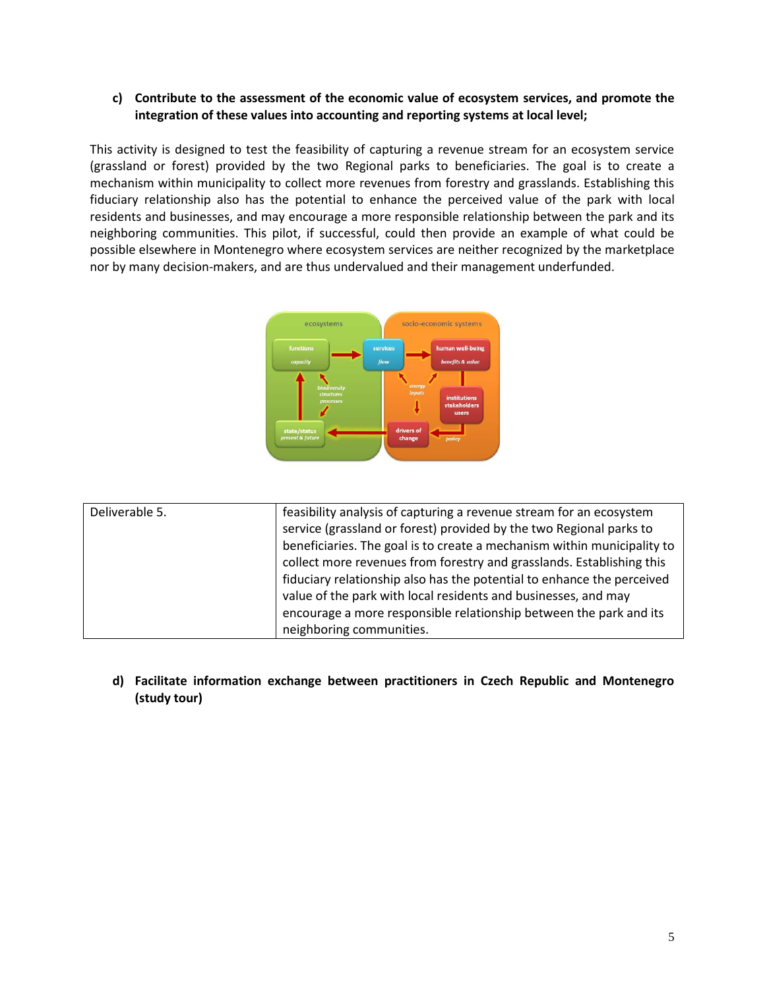# **c) Contribute to the assessment of the economic value of ecosystem services, and promote the integration of these values into accounting and reporting systems at local level;**

This activity is designed to test the feasibility of capturing a revenue stream for an ecosystem service (grassland or forest) provided by the two Regional parks to beneficiaries. The goal is to create a mechanism within municipality to collect more revenues from forestry and grasslands. Establishing this fiduciary relationship also has the potential to enhance the perceived value of the park with local residents and businesses, and may encourage a more responsible relationship between the park and its neighboring communities. This pilot, if successful, could then provide an example of what could be possible elsewhere in Montenegro where ecosystem services are neither recognized by the marketplace nor by many decision-makers, and are thus undervalued and their management underfunded.



| Deliverable 5. | feasibility analysis of capturing a revenue stream for an ecosystem     |
|----------------|-------------------------------------------------------------------------|
|                | service (grassland or forest) provided by the two Regional parks to     |
|                | beneficiaries. The goal is to create a mechanism within municipality to |
|                | collect more revenues from forestry and grasslands. Establishing this   |
|                | fiduciary relationship also has the potential to enhance the perceived  |
|                | value of the park with local residents and businesses, and may          |
|                | encourage a more responsible relationship between the park and its      |
|                | neighboring communities.                                                |

**d) Facilitate information exchange between practitioners in Czech Republic and Montenegro (study tour)**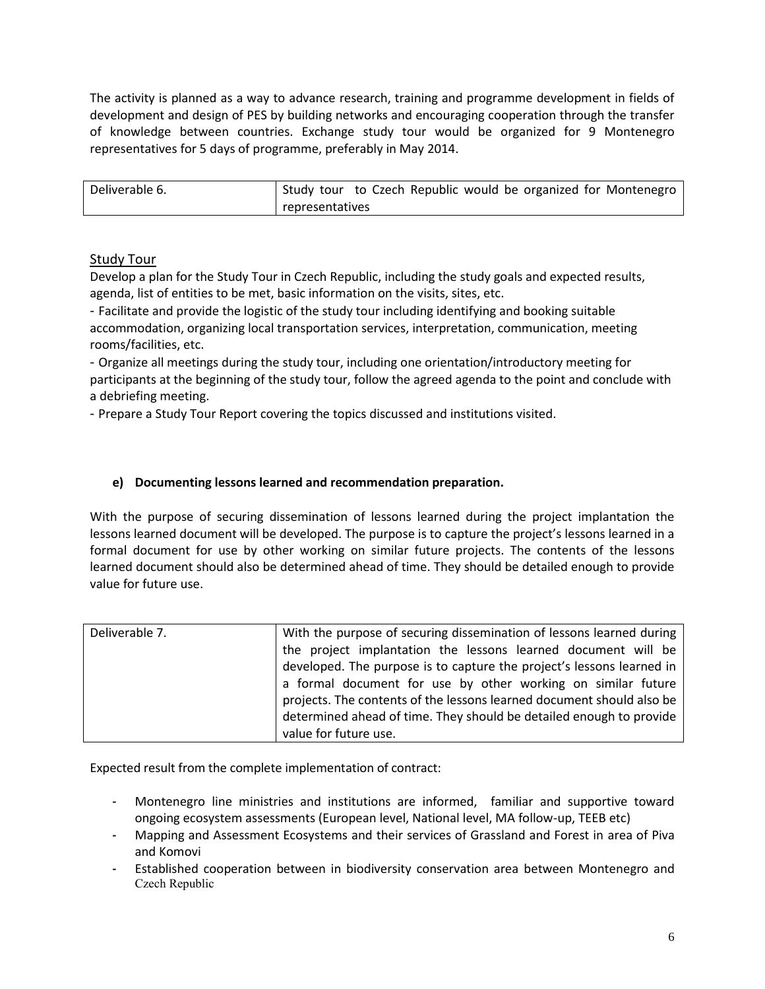The activity is planned as a way to advance research, training and programme development in fields of development and design of PES by building networks and encouraging cooperation through the transfer of knowledge between countries. Exchange study tour would be organized for 9 Montenegro representatives for 5 days of programme, preferably in May 2014.

| Deliverable 6. | Study tour to Czech Republic would be organized for Montenegro |  |  |  |
|----------------|----------------------------------------------------------------|--|--|--|
|                | representatives                                                |  |  |  |

# Study Tour

Develop a plan for the Study Tour in Czech Republic, including the study goals and expected results, agenda, list of entities to be met, basic information on the visits, sites, etc.

- Facilitate and provide the logistic of the study tour including identifying and booking suitable accommodation, organizing local transportation services, interpretation, communication, meeting rooms/facilities, etc.

- Organize all meetings during the study tour, including one orientation/introductory meeting for participants at the beginning of the study tour, follow the agreed agenda to the point and conclude with a debriefing meeting.

- Prepare a Study Tour Report covering the topics discussed and institutions visited.

# **e) Documenting lessons learned and recommendation preparation.**

With the purpose of securing dissemination of lessons learned during the project implantation the lessons learned document will be developed. The purpose is to capture the project's lessons learned in a formal document for use by other working on similar future projects. The contents of the lessons learned document should also be determined ahead of time. They should be detailed enough to provide value for future use.

| Deliverable 7. | With the purpose of securing dissemination of lessons learned during  |  |  |  |  |
|----------------|-----------------------------------------------------------------------|--|--|--|--|
|                | the project implantation the lessons learned document will be         |  |  |  |  |
|                | developed. The purpose is to capture the project's lessons learned in |  |  |  |  |
|                | a formal document for use by other working on similar future          |  |  |  |  |
|                | projects. The contents of the lessons learned document should also be |  |  |  |  |
|                | determined ahead of time. They should be detailed enough to provide   |  |  |  |  |
|                | value for future use.                                                 |  |  |  |  |

Expected result from the complete implementation of contract:

- Montenegro line ministries and institutions are informed, familiar and supportive toward ongoing ecosystem assessments (European level, National level, MA follow-up, TEEB etc)
- Mapping and Assessment Ecosystems and their services of Grassland and Forest in area of Piva and Komovi
- Established cooperation between in biodiversity conservation area between Montenegro and Czech Republic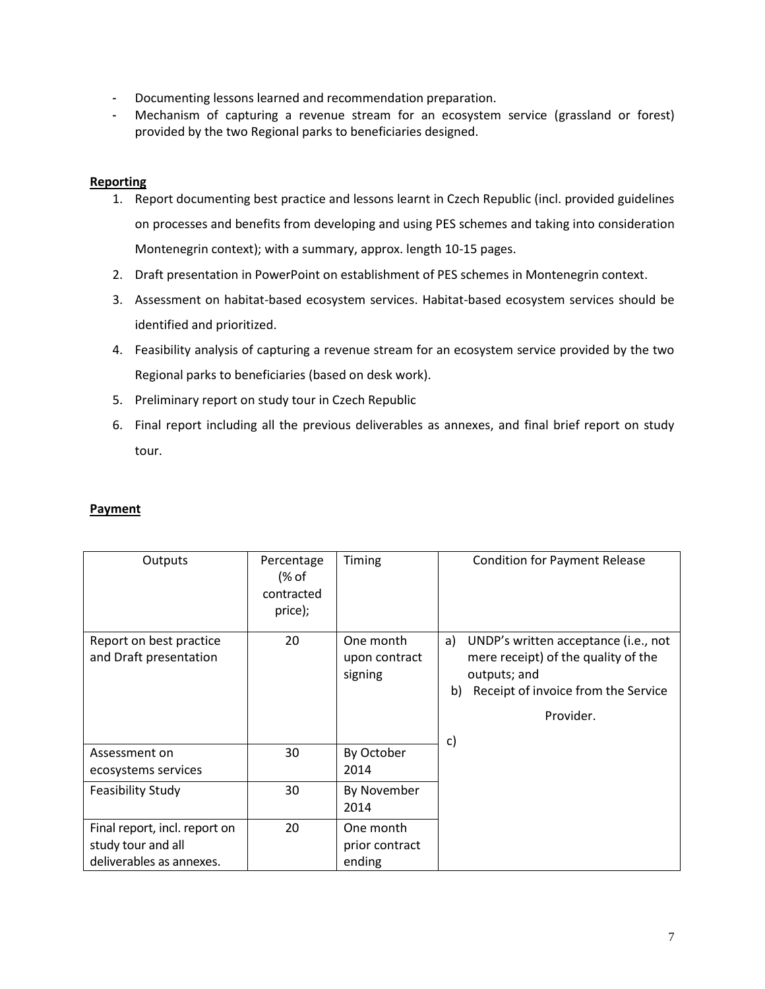- Documenting lessons learned and recommendation preparation.
- Mechanism of capturing a revenue stream for an ecosystem service (grassland or forest) provided by the two Regional parks to beneficiaries designed.

### **Reporting**

- 1. Report documenting best practice and lessons learnt in Czech Republic (incl. provided guidelines on processes and benefits from developing and using PES schemes and taking into consideration Montenegrin context); with a summary, approx. length 10-15 pages.
- 2. Draft presentation in PowerPoint on establishment of PES schemes in Montenegrin context.
- 3. Assessment on habitat-based ecosystem services. Habitat-based ecosystem services should be identified and prioritized.
- 4. Feasibility analysis of capturing a revenue stream for an ecosystem service provided by the two Regional parks to beneficiaries (based on desk work).
- 5. Preliminary report on study tour in Czech Republic
- 6. Final report including all the previous deliverables as annexes, and final brief report on study tour.

### **Payment**

| Outputs                                                                         | Percentage<br>(% of<br>contracted<br>price); | Timing                                | <b>Condition for Payment Release</b>                                                                                                                              |
|---------------------------------------------------------------------------------|----------------------------------------------|---------------------------------------|-------------------------------------------------------------------------------------------------------------------------------------------------------------------|
| Report on best practice<br>and Draft presentation                               | 20                                           | One month<br>upon contract<br>signing | UNDP's written acceptance (i.e., not<br>a)<br>mere receipt) of the quality of the<br>outputs; and<br>Receipt of invoice from the Service<br>b)<br>Provider.<br>c) |
| Assessment on<br>ecosystems services                                            | 30                                           | By October<br>2014                    |                                                                                                                                                                   |
| <b>Feasibility Study</b>                                                        | 30                                           | By November<br>2014                   |                                                                                                                                                                   |
| Final report, incl. report on<br>study tour and all<br>deliverables as annexes. | 20                                           | One month<br>prior contract<br>ending |                                                                                                                                                                   |